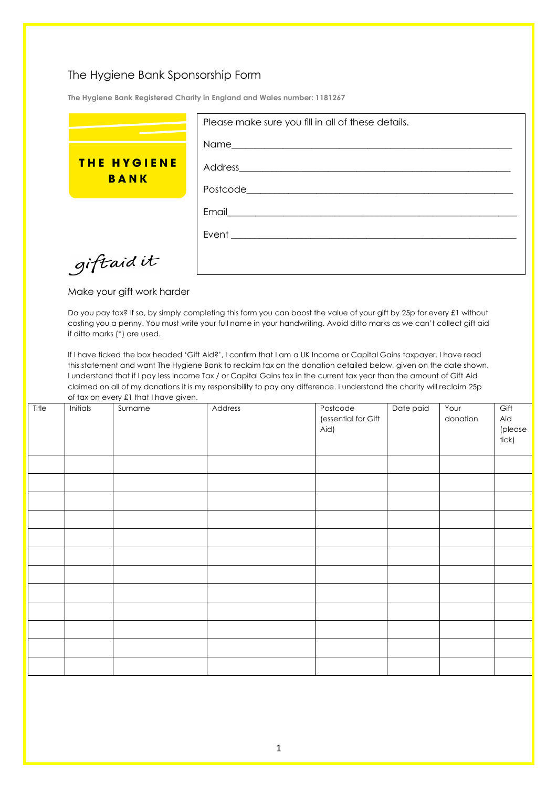## The Hygiene Bank Sponsorship Form

**The Hygiene Bank Registered Charity in England and Wales number: 1181267**

|                    | Please make sure you fill in all of these details. |
|--------------------|----------------------------------------------------|
|                    | Name__________                                     |
| <b>THE HYGIENE</b> | Address_____________                               |
| <b>BANK</b>        | Postcode_________                                  |
|                    | Email                                              |
|                    | Event                                              |
| giftaid it         |                                                    |

Make your gift work harder

Do you pay tax? If so, by simply completing this form you can boost the value of your gift by 25p for every £1 without costing you a penny. You must write your full name in your handwriting. Avoid ditto marks as we can't collect gift aid if ditto marks (") are used.

If I have ticked the box headed 'Gift Aid?', I confirm that I am a UK Income or Capital Gains taxpayer. I have read this statement and want The Hygiene Bank to reclaim tax on the donation detailed below, given on the date shown. I understand that if I pay less Income Tax / or Capital Gains tax in the current tax year than the amount of Gift Aid claimed on all of my donations it is my responsibility to pay any difference. I understand the charity will reclaim 25p of tax on every £1 that I have given.

| Title | Initials | Surname | Address | Postcode<br>(essential for Gift<br>Aid) | Date paid | Your<br>donation | Gift<br>Aid<br>(please<br>tick) |
|-------|----------|---------|---------|-----------------------------------------|-----------|------------------|---------------------------------|
|       |          |         |         |                                         |           |                  |                                 |
|       |          |         |         |                                         |           |                  |                                 |
|       |          |         |         |                                         |           |                  |                                 |
|       |          |         |         |                                         |           |                  |                                 |
|       |          |         |         |                                         |           |                  |                                 |
|       |          |         |         |                                         |           |                  |                                 |
|       |          |         |         |                                         |           |                  |                                 |
|       |          |         |         |                                         |           |                  |                                 |
|       |          |         |         |                                         |           |                  |                                 |
|       |          |         |         |                                         |           |                  |                                 |
|       |          |         |         |                                         |           |                  |                                 |
|       |          |         |         |                                         |           |                  |                                 |